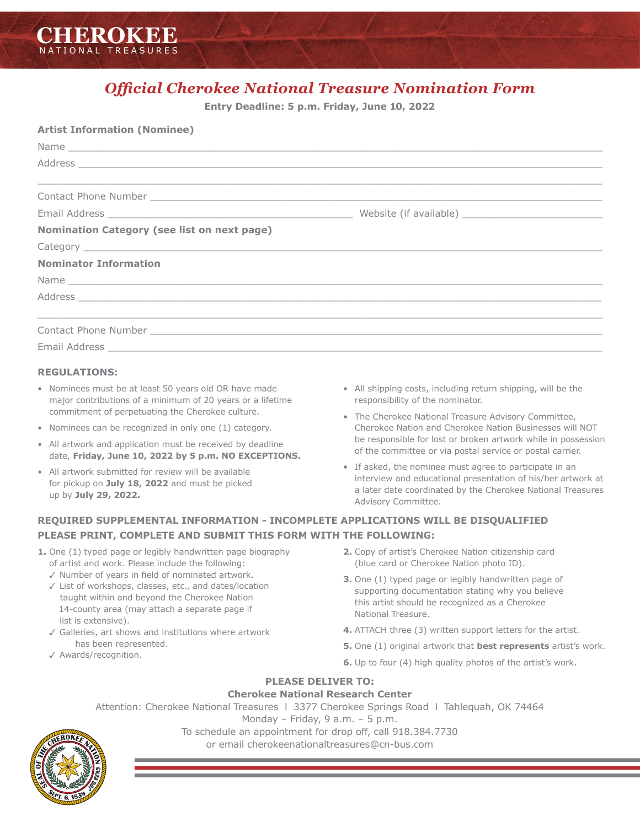

# *Official Cherokee National Treasure Nomination Form*

**Entry Deadline: 5 p.m. Friday, June 10, 2022**

| <b>Artist Information (Nominee)</b>                                                                                                                                                                                            |  |
|--------------------------------------------------------------------------------------------------------------------------------------------------------------------------------------------------------------------------------|--|
|                                                                                                                                                                                                                                |  |
| Address experience and the set of the set of the set of the set of the set of the set of the set of the set of the set of the set of the set of the set of the set of the set of the set of the set of the set of the set of t |  |
| Contact Phone Number Law and Contact Phone Number Law and Contact Phone Number 2014                                                                                                                                            |  |
|                                                                                                                                                                                                                                |  |
| Nomination Category (see list on next page)                                                                                                                                                                                    |  |
|                                                                                                                                                                                                                                |  |
| <b>Nominator Information</b>                                                                                                                                                                                                   |  |
| Name experience and the second contract of the second contract of the second contract of the second contract of the second contract of the second contract of the second contract of the second contract of the second contrac |  |
|                                                                                                                                                                                                                                |  |
| <u> Alexandro de la contrada de la contrada de la contrada de la contrada de la contrada de la contrada de la con</u>                                                                                                          |  |
|                                                                                                                                                                                                                                |  |

#### **REGULATIONS:**

- Nominees must be at least 50 years old OR have made major contributions of a minimum of 20 years or a lifetime commitment of perpetuating the Cherokee culture.
- Nominees can be recognized in only one (1) category.
- All artwork and application must be received by deadline date, **Friday, June 10, 2022 by 5 p.m. NO EXCEPTIONS.**
- All artwork submitted for review will be available for pickup on **July 18, 2022** and must be picked up by **July 29, 2022.**
- All shipping costs, including return shipping, will be the responsibility of the nominator.
- The Cherokee National Treasure Advisory Committee, Cherokee Nation and Cherokee Nation Businesses will NOT be responsible for lost or broken artwork while in possession of the committee or via postal service or postal carrier.
- If asked, the nominee must agree to participate in an interview and educational presentation of his/her artwork at a later date coordinated by the Cherokee National Treasures Advisory Committee.

# **REQUIRED SUPPLEMENTAL INFORMATION - INCOMPLETE APPLICATIONS WILL BE DISQUALIFIED PLEASE PRINT, COMPLETE AND SUBMIT THIS FORM WITH THE FOLLOWING:**

- **1.** One (1) typed page or legibly handwritten page biography of artist and work. Please include the following:
	- $\checkmark$  Number of years in field of nominated artwork.
	- $\checkmark$  List of workshops, classes, etc., and dates/location taught within and beyond the Cherokee Nation 14-county area (may attach a separate page if list is extensive).
	- $\sqrt{3}$  Galleries, art shows and institutions where artwork has been represented.
	- √ Awards/recognition.
- **2.** Copy of artist's Cherokee Nation citizenship card (blue card or Cherokee Nation photo ID).
- **3.** One (1) typed page or legibly handwritten page of supporting documentation stating why you believe this artist should be recognized as a Cherokee National Treasure.
- **4.** ATTACH three (3) written support letters for the artist.
- **5.** One (1) original artwork that **best represents** artist's work.
- **6.** Up to four (4) high quality photos of the artist's work.

#### **PLEASE DELIVER TO:**

#### **Cherokee National Research Center**

Attention: Cherokee National Treasures l 3377 Cherokee Springs Road l Tahlequah, OK 74464

Monday – Friday, 9 a.m. – 5 p.m.

To schedule an appointment for drop off, call 918.384.7730

or email cherokeenationaltreasures@cn-bus.com